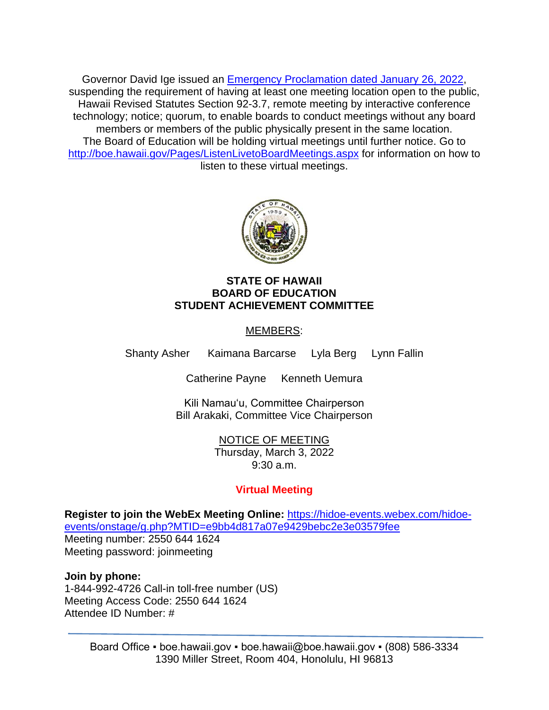Governor David Ige issued an [Emergency Proclamation dated January 26, 2022,](https://governor.hawaii.gov/wp-content/uploads/2022/01/2201143-ATG_Emergency-Proclamation-Related-to-COVID-19-Omicron-Variant-distribution-signed.pdf) suspending the requirement of having at least one meeting location open to the public, Hawaii Revised Statutes Section 92-3.7, remote meeting by interactive conference technology; notice; quorum, to enable boards to conduct meetings without any board members or members of the public physically present in the same location. The Board of Education will be holding virtual meetings until further notice. Go to <http://boe.hawaii.gov/Pages/ListenLivetoBoardMeetings.aspx> for information on how to listen to these virtual meetings.



### **STATE OF HAWAII BOARD OF EDUCATION STUDENT ACHIEVEMENT COMMITTEE**

# MEMBERS:

Shanty Asher Kaimana Barcarse Lyla Berg Lynn Fallin

Catherine Payne Kenneth Uemura

Kili Namauʻu, Committee Chairperson Bill Arakaki, Committee Vice Chairperson

> NOTICE OF MEETING Thursday, March 3, 2022 9:30 a.m.

# **Virtual Meeting**

**Register to join the WebEx Meeting Online:** [https://hidoe-events.webex.com/hidoe](https://hidoe-events.webex.com/hidoe-events/onstage/g.php?MTID=e9bb4d817a07e9429bebc2e3e03579fee)[events/onstage/g.php?MTID=e9bb4d817a07e9429bebc2e3e03579fee](https://hidoe-events.webex.com/hidoe-events/onstage/g.php?MTID=e9bb4d817a07e9429bebc2e3e03579fee) Meeting number: 2550 644 1624 Meeting password: joinmeeting

**Join by phone:**

1-844-992-4726 Call-in toll-free number (US) Meeting Access Code: 2550 644 1624 Attendee ID Number: #

> Board Office • boe.hawaii.gov • boe.hawaii@boe.hawaii.gov • (808) 586-3334 1390 Miller Street, Room 404, Honolulu, HI 96813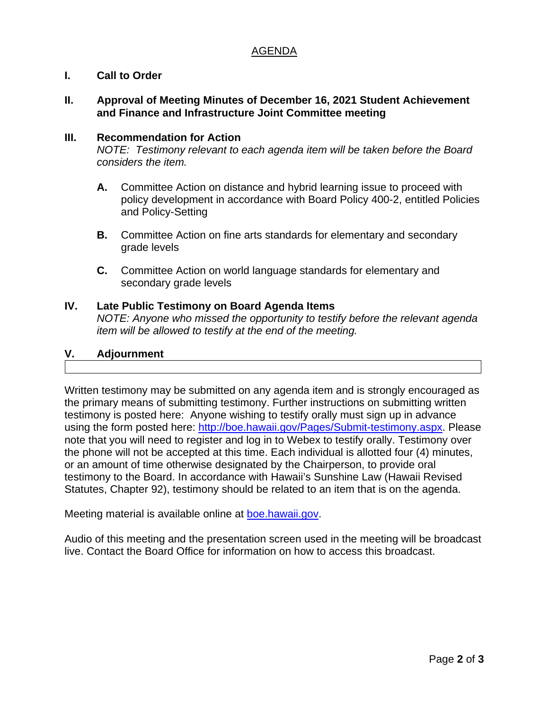## AGENDA

## **I. Call to Order**

#### **II. Approval of Meeting Minutes of December 16, 2021 Student Achievement and Finance and Infrastructure Joint Committee meeting**

#### **III. Recommendation for Action**

*NOTE: Testimony relevant to each agenda item will be taken before the Board considers the item.*

- **A.** Committee Action on distance and hybrid learning issue to proceed with policy development in accordance with Board Policy 400-2, entitled Policies and Policy-Setting
- **B.** Committee Action on fine arts standards for elementary and secondary grade levels
- **C.** Committee Action on world language standards for elementary and secondary grade levels

#### **IV. Late Public Testimony on Board Agenda Items**

*NOTE: Anyone who missed the opportunity to testify before the relevant agenda item will be allowed to testify at the end of the meeting.*

## **V. Adjournment**

Written testimony may be submitted on any agenda item and is strongly encouraged as the primary means of submitting testimony. Further instructions on submitting written testimony is posted here: Anyone wishing to testify orally must sign up in advance using the form posted here: [http://boe.hawaii.gov/Pages/Submit-testimony.aspx.](http://boe.hawaii.gov/Pages/Submit-testimony.aspx) Please note that you will need to register and log in to Webex to testify orally. Testimony over the phone will not be accepted at this time. Each individual is allotted four (4) minutes, or an amount of time otherwise designated by the Chairperson, to provide oral testimony to the Board. In accordance with Hawaii's Sunshine Law (Hawaii Revised Statutes, Chapter 92), testimony should be related to an item that is on the agenda.

Meeting material is available online at [boe.hawaii.gov.](http://boe.hawaii.gov/Pages/Welcome.aspx)

Audio of this meeting and the presentation screen used in the meeting will be broadcast live. Contact the Board Office for information on how to access this broadcast.